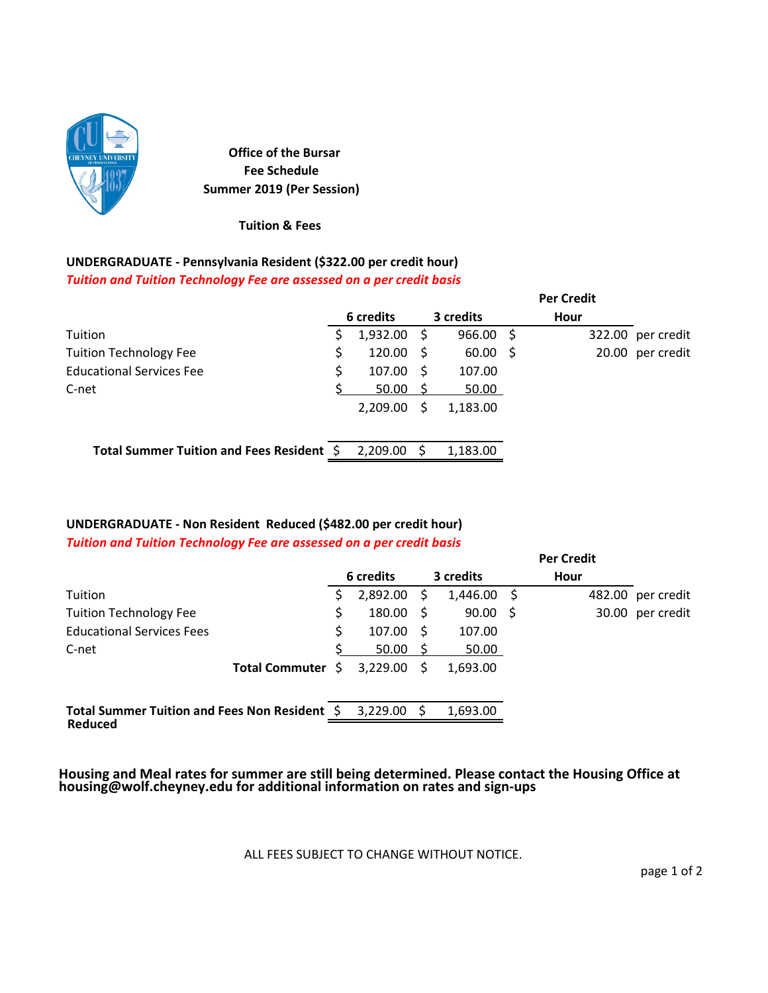

**Office of the Bursar Fee Schedule Summer 2019 (Per Session)**

**Tuition & Fees**

## **UNDERGRADUATE ‐ Pennsylvania Resident (\$322.00 per credit hour)**

*Tuition and Tuition Technology Fee are assessed on a per credit basis*

|                                           |               |     |             |     | <b>Per Credit</b> |                   |
|-------------------------------------------|---------------|-----|-------------|-----|-------------------|-------------------|
|                                           | 6 credits     |     | 3 credits   |     | Hour              |                   |
| Tuition                                   | $1,932.00$ \$ |     | $966.00$ \$ |     |                   | 322.00 per credit |
| <b>Tuition Technology Fee</b>             | 120.00        |     | 60.00       | - S |                   | 20.00 per credit  |
| <b>Educational Services Fee</b>           | 107.00        |     | 107.00      |     |                   |                   |
| C-net                                     | 50.00 S       |     | 50.00       |     |                   |                   |
|                                           | 2,209.00      | S   | 1,183.00    |     |                   |                   |
| Total Summer Tuition and Fees Resident \$ | 2.209.00      | - S | 1,183.00    |     |                   |                   |

## **UNDERGRADUATE ‐ Non Resident Reduced (\$482.00 per credit hour)**

*Tuition and Tuition Technology Fee are assessed on a per credit basis* 

|                                               |                   |    |               |     |               |    | <b>Per Credit</b> |                   |
|-----------------------------------------------|-------------------|----|---------------|-----|---------------|----|-------------------|-------------------|
|                                               |                   |    | 6 credits     |     | 3 credits     |    | Hour              |                   |
| Tuition                                       |                   |    | 2,892.00      | S   | $1,446.00$ \$ |    |                   | 482.00 per credit |
| <b>Tuition Technology Fee</b>                 |                   | \$ | $180.00 \div$ |     | 90.00         | -S |                   | 30.00 per credit  |
| <b>Educational Services Fees</b>              |                   | S  | 107.00        | - S | 107.00        |    |                   |                   |
| C-net                                         |                   |    | 50.00         |     | 50.00         |    |                   |                   |
|                                               | Total Commuter \$ |    | 3,229.00      |     | 1,693.00      |    |                   |                   |
| Total Summer Tuition and Fees Non Resident \$ |                   |    | 3.229.00      | S   | 1,693.00      |    |                   |                   |
| Reduced                                       |                   |    |               |     |               |    |                   |                   |

**Housing and Meal rates for summer are still being determined. Please contact the Housing Office at housing@wolf.cheyney.edu for additional information on rates and sign‐ups**

ALL FEES SUBJECT TO CHANGE WITHOUT NOTICE.